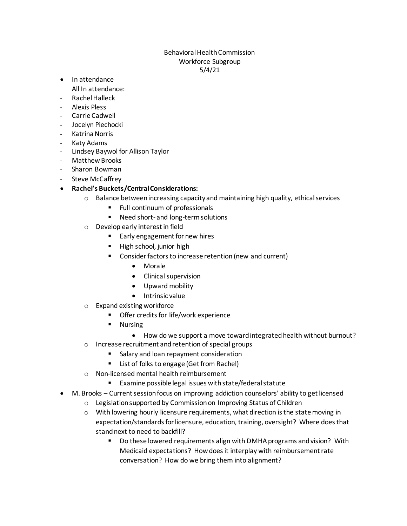## Behavioral Health Commission Workforce Subgroup 5/4/21

- In attendance All In attendance:
- Rachel Halleck
- Alexis Pless
- Carrie Cadwell
- Jocelyn Piechocki
- Katrina Norris
- Katy Adams
- Lindsey Baywol for Allison Taylor
- Matthew Brooks
- Sharon Bowman
- Steve McCaffrey
- **Rachel's Buckets/Central Considerations:**
	- $\circ$  Balance between increasing capacity and maintaining high quality, ethical services
		- Full continuum of professionals
		- Need short- and long-term solutions
	- o Develop early interest in field
		- Early engagement for new hires
		- High school, junior high
		- Consider factors to increase retention (new and current)
			- Morale
			- Clinical supervision
			- Upward mobility
			- Intrinsic value
	- o Expand existing workforce
		- Offer credits for life/work experience
			- **Nursing** 
				- How do we support a move toward integrated health without burnout?
	- o Increase recruitment and retention of special groups
		- Salary and loan repayment consideration
		- List of folks to engage (Get from Rachel)
	- o Non-licensed mental health reimbursement
		- Examine possible legal issues with state/federal statute
- M. Brooks Current session focus on improving addiction counselors' ability to get licensed
	- o Legislation supported by Commission on Improving Status of Children
	- $\circ$  With lowering hourly licensure requirements, what direction is the state moving in expectation/standards for licensure, education, training, oversight? Where does that stand next to need to backfill?
		- Do these lowered requirements align with DMHA programs and vision? With Medicaid expectations? How does it interplay with reimbursement rate conversation? How do we bring them into alignment?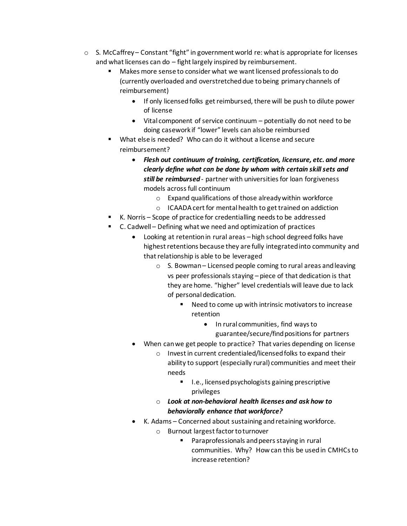- $\circ$  S. McCaffrey Constant "fight" in government world re: what is appropriate for licenses and what licenses can do – fight largely inspired by reimbursement.
	- Makes more sense to consider what we want licensed professionals to do (currently overloaded and overstretched due to being primary channels of reimbursement)
		- If only licensed folks get reimbursed, there will be push to dilute power of license
		- Vital component of service continuum potentially do not need to be doing casework if "lower" levels can also be reimbursed
	- What else is needed? Who can do it without a license and secure reimbursement?
		- *Flesh out continuum of training, certification, licensure, etc. and more clearly define what can be done by whom with certain skill sets and still be reimbursed* - partner with universities for loan forgiveness models across full continuum
			- o Expand qualifications of those already within workforce
			- o ICAADAcert for mental health to get trained on addiction
	- K. Norris Scope of practice for credentialling needs to be addressed
	- C. Cadwell Defining what we need and optimization of practices
		- Looking at retention in rural areas high school degreed folks have highest retentions because they are fully integrated into community and that relationship is able to be leveraged
			- o S. Bowman– Licensed people coming to rural areas and leaving vs peer professionals staying – piece of that dedication is that they are home. "higher" level credentials will leave due to lack of personal dedication.
				- Need to come up with intrinsic motivators to increase retention
					- In rural communities, find ways to guarantee/secure/find positions for partners
		- When can we get people to practice? That varies depending on license
			- o Invest in current credentialed/licensed folks to expand their ability to support (especially rural) communities and meet their needs
				- I.e., licensed psychologists gaining prescriptive privileges
			- o *Look at non-behavioral health licenses and ask how to behaviorally enhance that workforce?*
		- K. Adams Concerned about sustaining and retaining workforce.
			- o Burnout largest factor to turnover
				- Paraprofessionals and peers staying in rural communities. Why? How can this be used in CMHCs to increase retention?